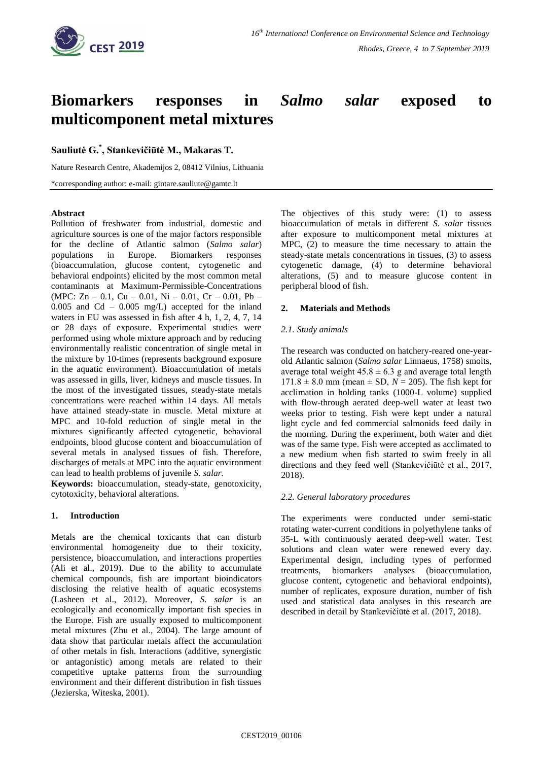

# **Biomarkers responses in** *Salmo salar* **exposed to multicomponent metal mixtures**

# **Sauliutė G.\* , Stankevičiūtė M., Makaras T.**

Nature Research Centre, Akademijos 2, 08412 Vilnius, Lithuania

\*corresponding author: e-mail: gintare.sauliute@gamtc.lt

## **Abstract**

Pollution of freshwater from industrial, domestic and agriculture sources is one of the major factors responsible for the decline of Atlantic salmon (*Salmo salar*) populations in Europe. Biomarkers responses (bioaccumulation, glucose content, cytogenetic and behavioral endpoints) elicited by the most common metal contaminants at Maximum-Permissible-Concentrations (MPC:  $Zn - 0.1$ , Cu – 0.01, Ni – 0.01, Cr – 0.01, Pb –  $0.005$  and Cd –  $0.005$  mg/L) accepted for the inland waters in EU was assessed in fish after 4 h, 1, 2, 4, 7, 14 or 28 days of exposure. Experimental studies were performed using whole mixture approach and by reducing environmentally realistic concentration of single metal in the mixture by 10-times (represents background exposure in the aquatic environment). Bioaccumulation of metals was assessed in gills, liver, kidneys and muscle tissues. In the most of the investigated tissues, steady-state metals concentrations were reached within 14 days. All metals have attained steady-state in muscle. Metal mixture at MPC and 10-fold reduction of single metal in the mixtures significantly affected cytogenetic, behavioral endpoints, blood glucose content and bioaccumulation of several metals in analysed tissues of fish. Therefore, discharges of metals at MPC into the aquatic environment can lead to health problems of juvenile *S. salar.*

**Keywords:** bioaccumulation, steady-state, genotoxicity, cytotoxicity, behavioral alterations.

# **1. Introduction**

Metals are the chemical toxicants that can disturb environmental homogeneity due to their toxicity, persistence, bioaccumulation, and interactions properties (Ali et al., 2019). Due to the ability to accumulate chemical compounds, fish are important bioindicators disclosing the relative health of aquatic ecosystems (Lasheen et al., 2012). Moreover, *S. salar* is an ecologically and economically important fish species in the Europe. Fish are usually exposed to multicomponent metal mixtures (Zhu et al., 2004). The large amount of data show that particular metals affect the accumulation of other metals in fish. Interactions (additive, synergistic or antagonistic) among metals are related to their competitive uptake patterns from the surrounding environment and their different distribution in fish tissues (Jezierska, Witeska, 2001).

The objectives of this study were: (1) to assess bioaccumulation of metals in different *S. salar* tissues after exposure to multicomponent metal mixtures at MPC, (2) to measure the time necessary to attain the steady-state metals concentrations in tissues, (3) to assess cytogenetic damage, (4) to determine behavioral alterations, (5) and to measure glucose content in peripheral blood of fish.

## **2. Materials and Methods**

## *2.1. Study animals*

The research was conducted on hatchery-reared one-yearold Atlantic salmon (*Salmo salar* Linnaeus, 1758) smolts, average total weight  $45.8 \pm 6.3$  g and average total length  $171.8 \pm 8.0$  mm (mean  $\pm$  SD,  $N = 205$ ). The fish kept for acclimation in holding tanks (1000-L volume) supplied with flow-through aerated deep-well water at least two weeks prior to testing. Fish were kept under a natural light cycle and fed commercial salmonids feed daily in the morning. During the experiment, both water and diet was of the same type. Fish were accepted as acclimated to a new medium when fish started to swim freely in all directions and they feed well (Stankevičiūtė et al., 2017, 2018).

# *2.2. General laboratory procedures*

The experiments were conducted under semi-static rotating water-current conditions in polyethylene tanks of 35-L with continuously aerated deep-well water. Test solutions and clean water were renewed every day. Experimental design, including types of performed treatments, biomarkers analyses (bioaccumulation, glucose content, cytogenetic and behavioral endpoints), number of replicates, exposure duration, number of fish used and statistical data analyses in this research are described in detail by Stankevičiūtė et al. (2017, 2018).